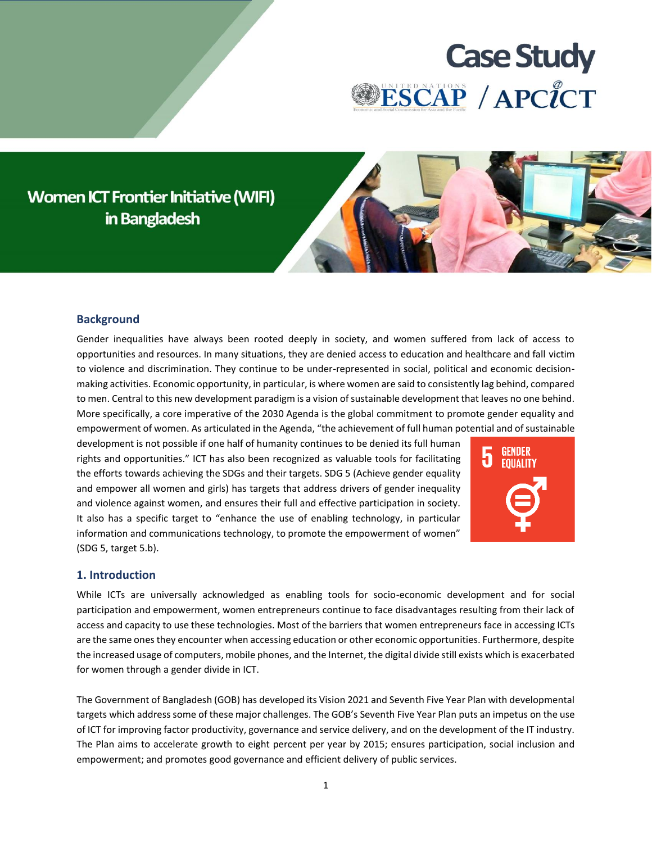

# **Women ICT Frontier Initiative (WIFI)** in Bangladesh



## **Background**

Gender inequalities have always been rooted deeply in society, and women suffered from lack of access to opportunities and resources. In many situations, they are denied access to education and healthcare and fall victim to violence and discrimination. They continue to be under-represented in social, political and economic decisionmaking activities. Economic opportunity, in particular, is where women are said to consistently lag behind, compared to men. Central to this new development paradigm is a vision of sustainable development that leaves no one behind. More specifically, a core imperative of the 2030 Agenda is the global commitment to promote gender equality and empowerment of women. As articulated in the Agenda, "the achievement of full human potential and of sustainable

development is not possible if one half of humanity continues to be denied its full human rights and opportunities." ICT has also been recognized as valuable tools for facilitating the efforts towards achieving the SDGs and their targets. SDG 5 (Achieve gender equality and empower all women and girls) has targets that address drivers of gender inequality and violence against women, and ensures their full and effective participation in society. It also has a specific target to "enhance the use of enabling technology, in particular information and communications technology, to promote the empowerment of women" (SDG 5, target 5.b).



#### **1. Introduction**

While ICTs are universally acknowledged as enabling tools for socio-economic development and for social participation and empowerment, women entrepreneurs continue to face disadvantages resulting from their lack of access and capacity to use these technologies. Most of the barriers that women entrepreneurs face in accessing ICTs are the same ones they encounter when accessing education or other economic opportunities. Furthermore, despite the increased usage of computers, mobile phones, and the Internet, the digital divide still exists which is exacerbated for women through a gender divide in ICT.

The Government of Bangladesh (GOB) has developed its Vision 2021 and Seventh Five Year Plan with developmental targets which address some of these major challenges. The GOB's Seventh Five Year Plan puts an impetus on the use of ICT for improving factor productivity, governance and service delivery, and on the development of the IT industry. The Plan aims to accelerate growth to eight percent per year by 2015; ensures participation, social inclusion and empowerment; and promotes good governance and efficient delivery of public services.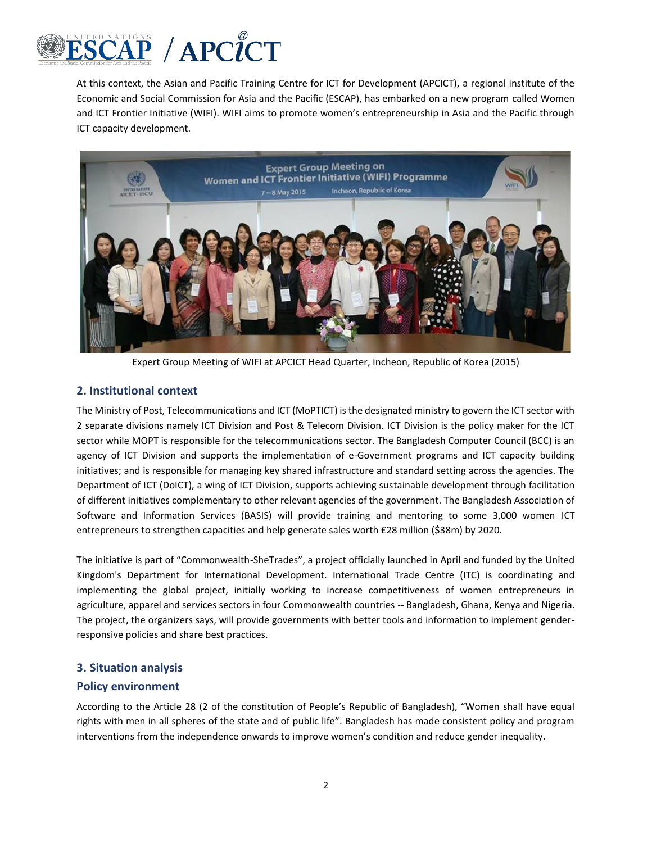

At this context, the Asian and Pacific Training Centre for ICT for Development (APCICT), a regional institute of the Economic and Social Commission for Asia and the Pacific (ESCAP), has embarked on a new program called Women and ICT Frontier Initiative (WIFI). WIFI aims to promote women's entrepreneurship in Asia and the Pacific through ICT capacity development.



Expert Group Meeting of WIFI at APCICT Head Quarter, Incheon, Republic of Korea (2015)

## **2. Institutional context**

The Ministry of Post, Telecommunications and ICT (MoPTICT) is the designated ministry to govern the ICT sector with 2 separate divisions namely ICT Division and Post & Telecom Division. ICT Division is the policy maker for the ICT sector while MOPT is responsible for the telecommunications sector. The Bangladesh Computer Council (BCC) is an agency of ICT Division and supports the implementation of e-Government programs and ICT capacity building initiatives; and is responsible for managing key shared infrastructure and standard setting across the agencies. The Department of ICT (DoICT), a wing of ICT Division, supports achieving sustainable development through facilitation of different initiatives complementary to other relevant agencies of the government. The Bangladesh Association of Software and Information Services (BASIS) will provide training and mentoring to some 3,000 women ICT entrepreneurs to strengthen capacities and help generate sales worth £28 million (\$38m) by 2020.

The initiative is part of "Commonwealth-SheTrades", a project officially launched in April and funded by the United Kingdom's Department for International Development. International Trade Centre (ITC) is coordinating and implementing the global project, initially working to increase competitiveness of women entrepreneurs in agriculture, apparel and services sectors in four Commonwealth countries -- Bangladesh, Ghana, Kenya and Nigeria. The project, the organizers says, will provide governments with better tools and information to implement genderresponsive policies and share best practices.

### **3. Situation analysis**

### **Policy environment**

According to the Article 28 (2 of the constitution of People's Republic of Bangladesh), "Women shall have equal rights with men in all spheres of the state and of public life". Bangladesh has made consistent policy and program interventions from the independence onwards to improve women's condition and reduce gender inequality.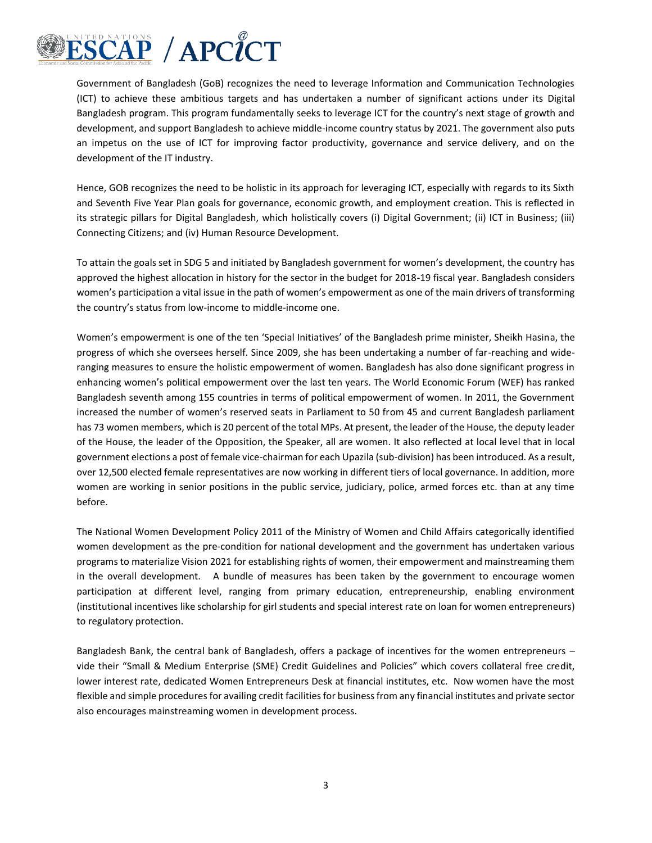

Government of Bangladesh (GoB) recognizes the need to leverage Information and Communication Technologies (ICT) to achieve these ambitious targets and has undertaken a number of significant actions under its Digital Bangladesh program. This program fundamentally seeks to leverage ICT for the country's next stage of growth and development, and support Bangladesh to achieve middle-income country status by 2021. The government also puts an impetus on the use of ICT for improving factor productivity, governance and service delivery, and on the development of the IT industry.

Hence, GOB recognizes the need to be holistic in its approach for leveraging ICT, especially with regards to its Sixth and Seventh Five Year Plan goals for governance, economic growth, and employment creation. This is reflected in its strategic pillars for Digital Bangladesh, which holistically covers (i) Digital Government; (ii) ICT in Business; (iii) Connecting Citizens; and (iv) Human Resource Development.

To attain the goals set in SDG 5 and initiated by Bangladesh government for women's development, the country has approved the highest allocation in history for the sector in the budget for 2018-19 fiscal year. Bangladesh considers women's participation a vital issue in the path of women's empowerment as one of the main drivers of transforming the country's status from low-income to middle-income one.

Women's empowerment is one of the ten 'Special Initiatives' of the Bangladesh prime minister, Sheikh Hasina, the progress of which she oversees herself. Since 2009, she has been undertaking a number of far-reaching and wideranging measures to ensure the holistic empowerment of women. Bangladesh has also done significant progress in enhancing women's political empowerment over the last ten years. The World Economic Forum (WEF) has ranked Bangladesh seventh among 155 countries in terms of political empowerment of women. In 2011, the Government increased the number of women's reserved seats in Parliament to 50 from 45 and current Bangladesh parliament has 73 women members, which is 20 percent of the total MPs. At present, the leader of the House, the deputy leader of the House, the leader of the Opposition, the Speaker, all are women. It also reflected at local level that in local government elections a post of female vice-chairman for each Upazila (sub-division) has been introduced. As a result, over 12,500 elected female representatives are now working in different tiers of local governance. In addition, more women are working in senior positions in the public service, judiciary, police, armed forces etc. than at any time before.

The National Women Development Policy 2011 of the Ministry of Women and Child Affairs categorically identified women development as the pre-condition for national development and the government has undertaken various programs to materialize Vision 2021 for establishing rights of women, their empowerment and mainstreaming them in the overall development. A bundle of measures has been taken by the government to encourage women participation at different level, ranging from primary education, entrepreneurship, enabling environment (institutional incentives like scholarship for girl students and special interest rate on loan for women entrepreneurs) to regulatory protection.

Bangladesh Bank, the central bank of Bangladesh, offers a package of incentives for the women entrepreneurs – vide their "Small & Medium Enterprise (SME) Credit Guidelines and Policies" which covers collateral free credit, lower interest rate, dedicated Women Entrepreneurs Desk at financial institutes, etc. Now women have the most flexible and simple procedures for availing credit facilities for business from any financial institutes and private sector also encourages mainstreaming women in development process.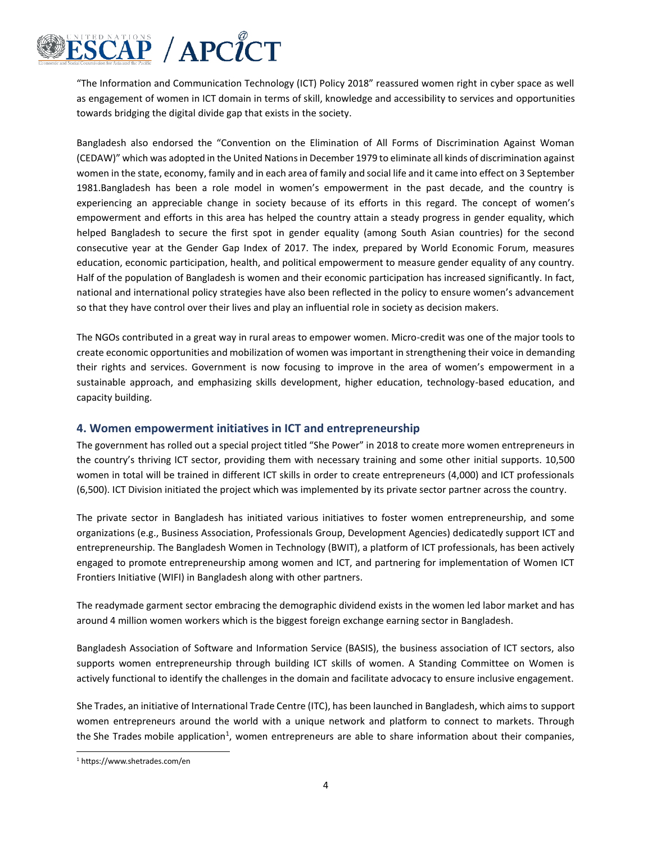

"The Information and Communication Technology (ICT) Policy 2018" reassured women right in cyber space as well as engagement of women in ICT domain in terms of skill, knowledge and accessibility to services and opportunities towards bridging the digital divide gap that exists in the society.

Bangladesh also endorsed the "Convention on the Elimination of All Forms of Discrimination Against Woman (CEDAW)" which was adopted in the United Nations in December 1979 to eliminate all kinds of discrimination against women in the state, economy, family and in each area of family and social life and it came into effect on 3 September 1981.Bangladesh has been a role model in women's empowerment in the past decade, and the country is experiencing an appreciable change in society because of its efforts in this regard. The concept of women's empowerment and efforts in this area has helped the country attain a steady progress in gender equality, which helped Bangladesh to secure the first spot in gender equality (among South Asian countries) for the second consecutive year at the Gender Gap Index of 2017. The index, prepared by World Economic Forum, measures education, economic participation, health, and political empowerment to measure gender equality of any country. Half of the population of Bangladesh is women and their economic participation has increased significantly. In fact, national and international policy strategies have also been reflected in the policy to ensure women's advancement so that they have control over their lives and play an influential role in society as decision makers.

The NGOs contributed in a great way in rural areas to empower women. Micro-credit was one of the major tools to create economic opportunities and mobilization of women was important in strengthening their voice in demanding their rights and services. Government is now focusing to improve in the area of women's empowerment in a sustainable approach, and emphasizing skills development, higher education, technology-based education, and capacity building.

#### **4. Women empowerment initiatives in ICT and entrepreneurship**

The government has rolled out a special project titled "She Power" in 2018 to create more women entrepreneurs in the country's thriving ICT sector, providing them with necessary training and some other initial supports. 10,500 women in total will be trained in different ICT skills in order to create entrepreneurs (4,000) and ICT professionals (6,500). ICT Division initiated the project which was implemented by its private sector partner across the country.

The private sector in Bangladesh has initiated various initiatives to foster women entrepreneurship, and some organizations (e.g., Business Association, Professionals Group, Development Agencies) dedicatedly support ICT and entrepreneurship. The Bangladesh Women in Technology (BWIT), a platform of ICT professionals, has been actively engaged to promote entrepreneurship among women and ICT, and partnering for implementation of Women ICT Frontiers Initiative (WIFI) in Bangladesh along with other partners.

The readymade garment sector embracing the demographic dividend exists in the women led labor market and has around 4 million women workers which is the biggest foreign exchange earning sector in Bangladesh.

Bangladesh Association of Software and Information Service (BASIS), the business association of ICT sectors, also supports women entrepreneurship through building ICT skills of women. A Standing Committee on Women is actively functional to identify the challenges in the domain and facilitate advocacy to ensure inclusive engagement.

She Trades, an initiative of International Trade Centre (ITC), has been launched in Bangladesh, which aims to support women entrepreneurs around the world with a unique network and platform to connect to markets. Through the She Trades mobile application<sup>1</sup>, women entrepreneurs are able to share information about their companies,

<sup>1</sup> https://www.shetrades.com/en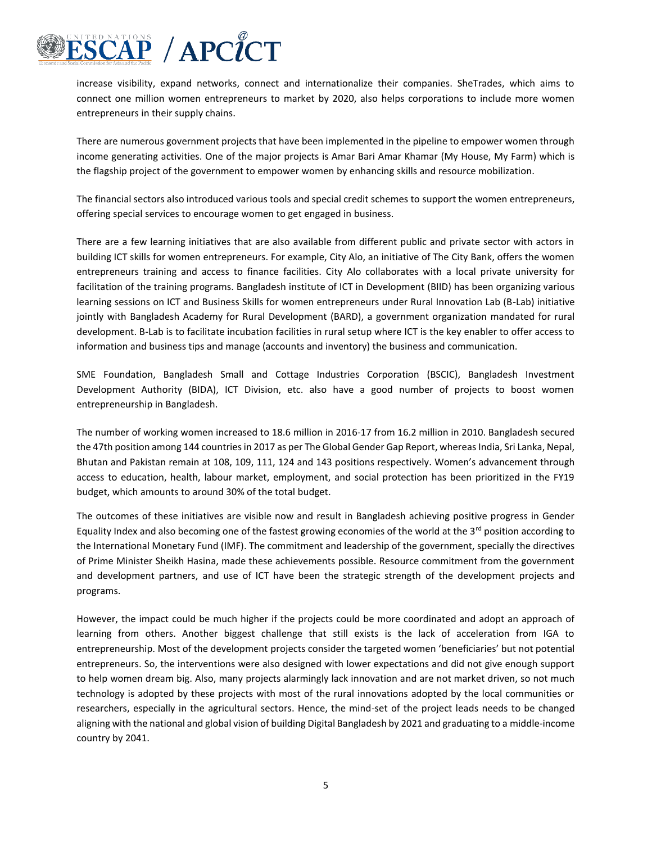

increase visibility, expand networks, connect and internationalize their companies. SheTrades, which aims to connect one million women entrepreneurs to market by 2020, also helps corporations to include more women entrepreneurs in their supply chains.

There are numerous government projects that have been implemented in the pipeline to empower women through income generating activities. One of the major projects is Amar Bari Amar Khamar (My House, My Farm) which is the flagship project of the government to empower women by enhancing skills and resource mobilization.

The financial sectors also introduced various tools and special credit schemes to support the women entrepreneurs, offering special services to encourage women to get engaged in business.

There are a few learning initiatives that are also available from different public and private sector with actors in building ICT skills for women entrepreneurs. For example, City Alo, an initiative of The City Bank, offers the women entrepreneurs training and access to finance facilities. City Alo collaborates with a local private university for facilitation of the training programs. Bangladesh institute of ICT in Development (BIID) has been organizing various learning sessions on ICT and Business Skills for women entrepreneurs under Rural Innovation Lab (B-Lab) initiative jointly with Bangladesh Academy for Rural Development (BARD), a government organization mandated for rural development. B-Lab is to facilitate incubation facilities in rural setup where ICT is the key enabler to offer access to information and business tips and manage (accounts and inventory) the business and communication.

SME Foundation, Bangladesh Small and Cottage Industries Corporation (BSCIC), Bangladesh Investment Development Authority (BIDA), ICT Division, etc. also have a good number of projects to boost women entrepreneurship in Bangladesh.

The number of working women increased to 18.6 million in 2016-17 from 16.2 million in 2010. Bangladesh secured the 47th position among 144 countries in 2017 as per The Global Gender Gap Report, whereas India, Sri Lanka, Nepal, Bhutan and Pakistan remain at 108, 109, 111, 124 and 143 positions respectively. Women's advancement through access to education, health, labour market, employment, and social protection has been prioritized in the FY19 budget, which amounts to around 30% of the total budget.

The outcomes of these initiatives are visible now and result in Bangladesh achieving positive progress in Gender Equality Index and also becoming one of the fastest growing economies of the world at the  $3<sup>rd</sup>$  position according to the International Monetary Fund (IMF). The commitment and leadership of the government, specially the directives of Prime Minister Sheikh Hasina, made these achievements possible. Resource commitment from the government and development partners, and use of ICT have been the strategic strength of the development projects and programs.

However, the impact could be much higher if the projects could be more coordinated and adopt an approach of learning from others. Another biggest challenge that still exists is the lack of acceleration from IGA to entrepreneurship. Most of the development projects consider the targeted women 'beneficiaries' but not potential entrepreneurs. So, the interventions were also designed with lower expectations and did not give enough support to help women dream big. Also, many projects alarmingly lack innovation and are not market driven, so not much technology is adopted by these projects with most of the rural innovations adopted by the local communities or researchers, especially in the agricultural sectors. Hence, the mind-set of the project leads needs to be changed aligning with the national and global vision of building Digital Bangladesh by 2021 and graduating to a middle-income country by 2041.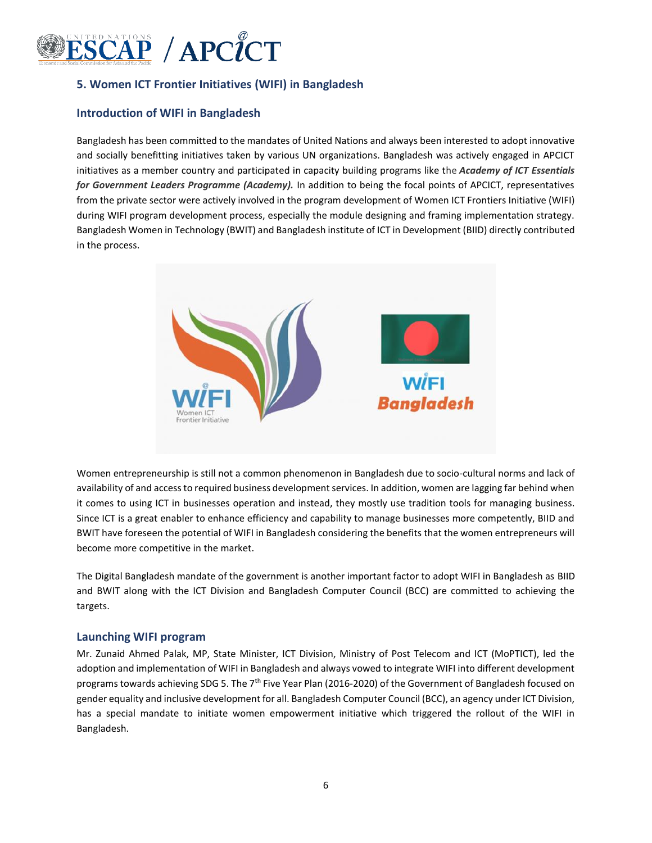

## **5. Women ICT Frontier Initiatives (WIFI) in Bangladesh**

#### **Introduction of WIFI in Bangladesh**

Bangladesh has been committed to the mandates of United Nations and always been interested to adopt innovative and socially benefitting initiatives taken by various UN organizations. Bangladesh was actively engaged in APCICT initiatives as a member country and participated in capacity building programs like the *Academy of ICT Essentials for Government Leaders Programme (Academy).* In addition to being the focal points of APCICT, representatives from the private sector were actively involved in the program development of Women ICT Frontiers Initiative (WIFI) during WIFI program development process, especially the module designing and framing implementation strategy. Bangladesh Women in Technology (BWIT) and Bangladesh institute of ICT in Development (BIID) directly contributed in the process.



Women entrepreneurship is still not a common phenomenon in Bangladesh due to socio-cultural norms and lack of availability of and access to required business development services. In addition, women are lagging far behind when it comes to using ICT in businesses operation and instead, they mostly use tradition tools for managing business. Since ICT is a great enabler to enhance efficiency and capability to manage businesses more competently, BIID and BWIT have foreseen the potential of WIFI in Bangladesh considering the benefits that the women entrepreneurs will become more competitive in the market.

The Digital Bangladesh mandate of the government is another important factor to adopt WIFI in Bangladesh as BIID and BWIT along with the ICT Division and Bangladesh Computer Council (BCC) are committed to achieving the targets.

#### **Launching WIFI program**

Mr. Zunaid Ahmed Palak, MP, State Minister, ICT Division, Ministry of Post Telecom and ICT (MoPTICT), led the adoption and implementation of WIFI in Bangladesh and always vowed to integrate WIFI into different development programs towards achieving SDG 5. The 7th Five Year Plan (2016-2020) of the Government of Bangladesh focused on gender equality and inclusive development for all. Bangladesh Computer Council (BCC), an agency under ICT Division, has a special mandate to initiate women empowerment initiative which triggered the rollout of the WIFI in Bangladesh.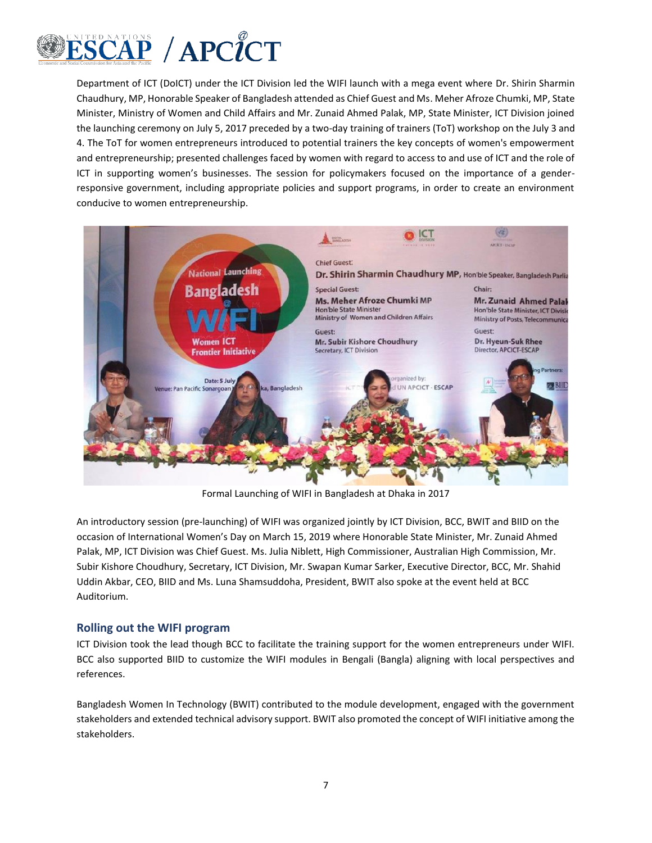

Department of ICT (DoICT) under the ICT Division led the WIFI launch with a mega event where Dr. Shirin Sharmin Chaudhury, MP, Honorable Speaker of Bangladesh attended as Chief Guest and Ms. Meher Afroze Chumki, MP, State Minister, Ministry of Women and Child Affairs and Mr. Zunaid Ahmed Palak, MP, State Minister, ICT Division joined the launching ceremony on July 5, 2017 preceded by a two-day training of trainers (ToT) workshop on the July 3 and 4. The ToT for women entrepreneurs introduced to potential trainers the key concepts of women's empowerment and entrepreneurship; presented challenges faced by women with regard to access to and use of ICT and the role of ICT in supporting women's businesses. The session for policymakers focused on the importance of a genderresponsive government, including appropriate policies and support programs, in order to create an environment conducive to women entrepreneurship.



Formal Launching of WIFI in Bangladesh at Dhaka in 2017

An introductory session (pre-launching) of WIFI was organized jointly by ICT Division, BCC, BWIT and BIID on the occasion of International Women's Day on March 15, 2019 where Honorable State Minister, Mr. Zunaid Ahmed Palak, MP, ICT Division was Chief Guest. Ms. Julia Niblett, High Commissioner, Australian High Commission, Mr. Subir Kishore Choudhury, Secretary, ICT Division, Mr. Swapan Kumar Sarker, Executive Director, BCC, Mr. Shahid Uddin Akbar, CEO, BIID and Ms. Luna Shamsuddoha, President, BWIT also spoke at the event held at BCC Auditorium.

### **Rolling out the WIFI program**

ICT Division took the lead though BCC to facilitate the training support for the women entrepreneurs under WIFI. BCC also supported BIID to customize the WIFI modules in Bengali (Bangla) aligning with local perspectives and references.

Bangladesh Women In Technology (BWIT) contributed to the module development, engaged with the government stakeholders and extended technical advisory support. BWIT also promoted the concept of WIFI initiative among the stakeholders.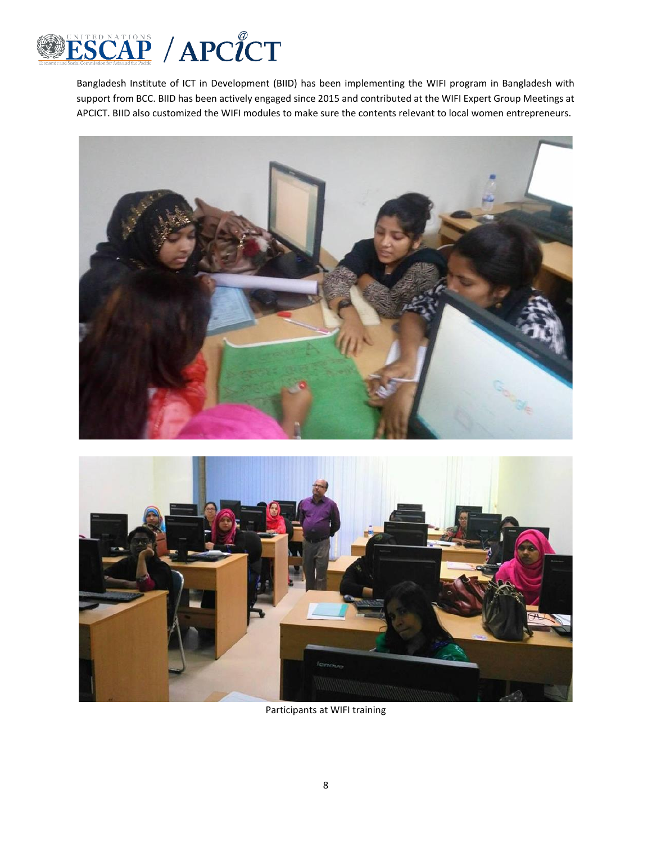

Bangladesh Institute of ICT in Development (BIID) has been implementing the WIFI program in Bangladesh with support from BCC. BIID has been actively engaged since 2015 and contributed at the WIFI Expert Group Meetings at APCICT. BIID also customized the WIFI modules to make sure the contents relevant to local women entrepreneurs.





Participants at WIFI training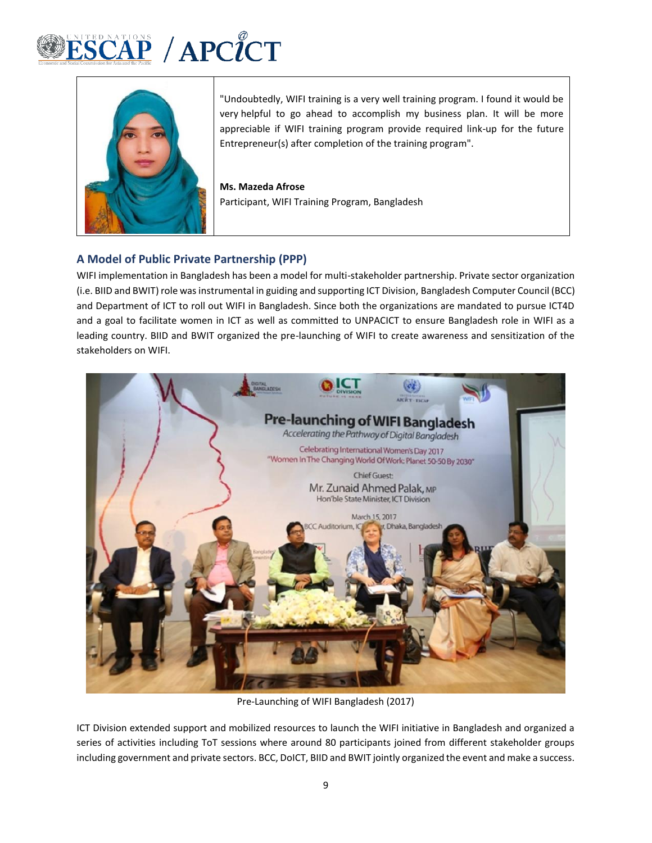



"Undoubtedly, WIFI training is a very well training program. I found it would be very helpful to go ahead to accomplish my business plan. It will be more appreciable if WIFI training program provide required link-up for the future Entrepreneur(s) after completion of the training program".

**Ms. Mazeda Afrose** Participant, WIFI Training Program, Bangladesh

## **A Model of Public Private Partnership (PPP)**

WIFI implementation in Bangladesh has been a model for multi-stakeholder partnership. Private sector organization (i.e. BIID and BWIT) role was instrumental in guiding and supporting ICT Division, Bangladesh Computer Council (BCC) and Department of ICT to roll out WIFI in Bangladesh. Since both the organizations are mandated to pursue ICT4D and a goal to facilitate women in ICT as well as committed to UNPACICT to ensure Bangladesh role in WIFI as a leading country. BIID and BWIT organized the pre-launching of WIFI to create awareness and sensitization of the stakeholders on WIFI.



Pre-Launching of WIFI Bangladesh (2017)

ICT Division extended support and mobilized resources to launch the WIFI initiative in Bangladesh and organized a series of activities including ToT sessions where around 80 participants joined from different stakeholder groups including government and private sectors. BCC, DoICT, BIID and BWIT jointly organized the event and make a success.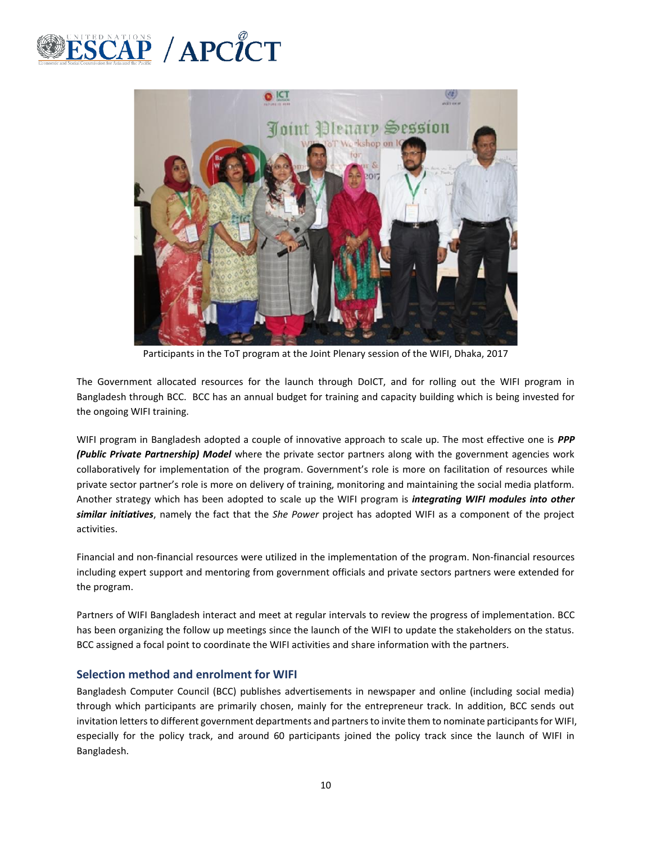



Participants in the ToT program at the Joint Plenary session of the WIFI, Dhaka, 2017

The Government allocated resources for the launch through DoICT, and for rolling out the WIFI program in Bangladesh through BCC. BCC has an annual budget for training and capacity building which is being invested for the ongoing WIFI training.

WIFI program in Bangladesh adopted a couple of innovative approach to scale up. The most effective one is *PPP (Public Private Partnership) Model* where the private sector partners along with the government agencies work collaboratively for implementation of the program. Government's role is more on facilitation of resources while private sector partner's role is more on delivery of training, monitoring and maintaining the social media platform. Another strategy which has been adopted to scale up the WIFI program is *integrating WIFI modules into other similar initiatives*, namely the fact that the *She Power* project has adopted WIFI as a component of the project activities.

Financial and non-financial resources were utilized in the implementation of the program. Non-financial resources including expert support and mentoring from government officials and private sectors partners were extended for the program.

Partners of WIFI Bangladesh interact and meet at regular intervals to review the progress of implementation. BCC has been organizing the follow up meetings since the launch of the WIFI to update the stakeholders on the status. BCC assigned a focal point to coordinate the WIFI activities and share information with the partners.

### **Selection method and enrolment for WIFI**

Bangladesh Computer Council (BCC) publishes advertisements in newspaper and online (including social media) through which participants are primarily chosen, mainly for the entrepreneur track. In addition, BCC sends out invitation letters to different government departments and partners to invite them to nominate participants for WIFI, especially for the policy track, and around 60 participants joined the policy track since the launch of WIFI in Bangladesh.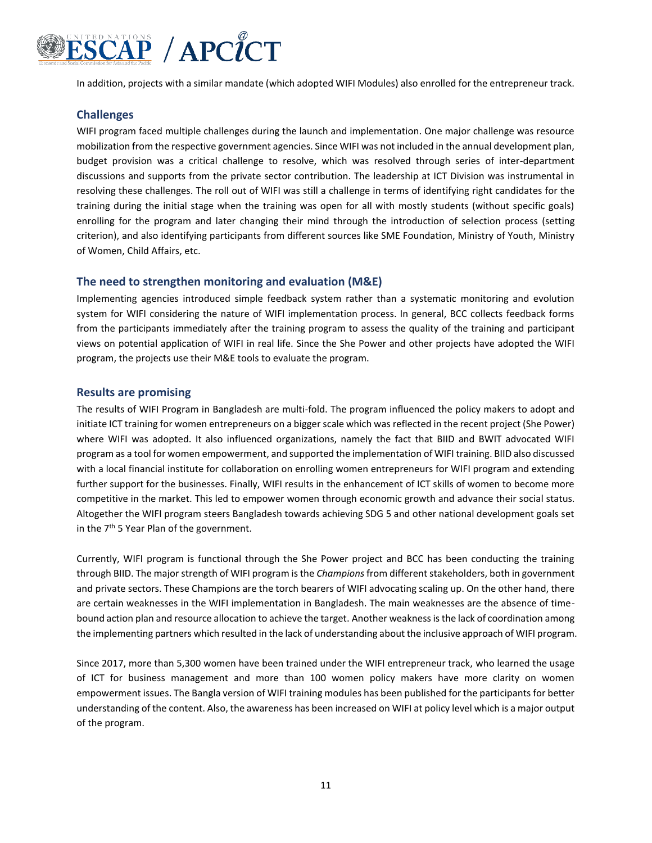

In addition, projects with a similar mandate (which adopted WIFI Modules) also enrolled for the entrepreneur track.

## **Challenges**

WIFI program faced multiple challenges during the launch and implementation. One major challenge was resource mobilization from the respective government agencies. Since WIFI was not included in the annual development plan, budget provision was a critical challenge to resolve, which was resolved through series of inter-department discussions and supports from the private sector contribution. The leadership at ICT Division was instrumental in resolving these challenges. The roll out of WIFI was still a challenge in terms of identifying right candidates for the training during the initial stage when the training was open for all with mostly students (without specific goals) enrolling for the program and later changing their mind through the introduction of selection process (setting criterion), and also identifying participants from different sources like SME Foundation, Ministry of Youth, Ministry of Women, Child Affairs, etc.

#### **The need to strengthen monitoring and evaluation (M&E)**

Implementing agencies introduced simple feedback system rather than a systematic monitoring and evolution system for WIFI considering the nature of WIFI implementation process. In general, BCC collects feedback forms from the participants immediately after the training program to assess the quality of the training and participant views on potential application of WIFI in real life. Since the She Power and other projects have adopted the WIFI program, the projects use their M&E tools to evaluate the program.

#### **Results are promising**

The results of WIFI Program in Bangladesh are multi-fold. The program influenced the policy makers to adopt and initiate ICT training for women entrepreneurs on a bigger scale which was reflected in the recent project (She Power) where WIFI was adopted. It also influenced organizations, namely the fact that BIID and BWIT advocated WIFI program as a tool for women empowerment, and supported the implementation of WIFI training. BIID also discussed with a local financial institute for collaboration on enrolling women entrepreneurs for WIFI program and extending further support for the businesses. Finally, WIFI results in the enhancement of ICT skills of women to become more competitive in the market. This led to empower women through economic growth and advance their social status. Altogether the WIFI program steers Bangladesh towards achieving SDG 5 and other national development goals set in the  $7<sup>th</sup>$  5 Year Plan of the government.

Currently, WIFI program is functional through the She Power project and BCC has been conducting the training through BIID. The major strength of WIFI program is the *Champions* from different stakeholders, both in government and private sectors. These Champions are the torch bearers of WIFI advocating scaling up. On the other hand, there are certain weaknesses in the WIFI implementation in Bangladesh. The main weaknesses are the absence of timebound action plan and resource allocation to achieve the target. Another weakness is the lack of coordination among the implementing partners which resulted in the lack of understanding about the inclusive approach of WIFI program.

Since 2017, more than 5,300 women have been trained under the WIFI entrepreneur track, who learned the usage of ICT for business management and more than 100 women policy makers have more clarity on women empowerment issues. The Bangla version of WIFI training modules has been published for the participants for better understanding of the content. Also, the awareness has been increased on WIFI at policy level which is a major output of the program.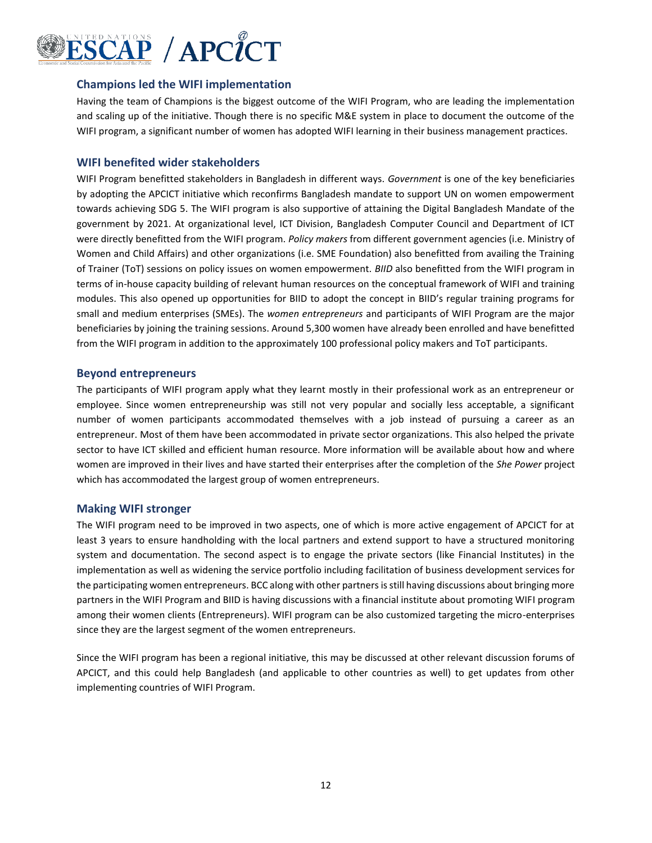

#### **Champions led the WIFI implementation**

Having the team of Champions is the biggest outcome of the WIFI Program, who are leading the implementation and scaling up of the initiative. Though there is no specific M&E system in place to document the outcome of the WIFI program, a significant number of women has adopted WIFI learning in their business management practices.

#### **WIFI benefited wider stakeholders**

WIFI Program benefitted stakeholders in Bangladesh in different ways. *Government* is one of the key beneficiaries by adopting the APCICT initiative which reconfirms Bangladesh mandate to support UN on women empowerment towards achieving SDG 5. The WIFI program is also supportive of attaining the Digital Bangladesh Mandate of the government by 2021. At organizational level, ICT Division, Bangladesh Computer Council and Department of ICT were directly benefitted from the WIFI program. *Policy makers* from different government agencies (i.e. Ministry of Women and Child Affairs) and other organizations (i.e. SME Foundation) also benefitted from availing the Training of Trainer (ToT) sessions on policy issues on women empowerment. *BIID* also benefitted from the WIFI program in terms of in-house capacity building of relevant human resources on the conceptual framework of WIFI and training modules. This also opened up opportunities for BIID to adopt the concept in BIID's regular training programs for small and medium enterprises (SMEs). The *women entrepreneurs* and participants of WIFI Program are the major beneficiaries by joining the training sessions. Around 5,300 women have already been enrolled and have benefitted from the WIFI program in addition to the approximately 100 professional policy makers and ToT participants.

#### **Beyond entrepreneurs**

The participants of WIFI program apply what they learnt mostly in their professional work as an entrepreneur or employee. Since women entrepreneurship was still not very popular and socially less acceptable, a significant number of women participants accommodated themselves with a job instead of pursuing a career as an entrepreneur. Most of them have been accommodated in private sector organizations. This also helped the private sector to have ICT skilled and efficient human resource. More information will be available about how and where women are improved in their lives and have started their enterprises after the completion of the *She Power* project which has accommodated the largest group of women entrepreneurs.

#### **Making WIFI stronger**

The WIFI program need to be improved in two aspects, one of which is more active engagement of APCICT for at least 3 years to ensure handholding with the local partners and extend support to have a structured monitoring system and documentation. The second aspect is to engage the private sectors (like Financial Institutes) in the implementation as well as widening the service portfolio including facilitation of business development services for the participating women entrepreneurs. BCC along with other partners is still having discussions about bringing more partners in the WIFI Program and BIID is having discussions with a financial institute about promoting WIFI program among their women clients (Entrepreneurs). WIFI program can be also customized targeting the micro-enterprises since they are the largest segment of the women entrepreneurs.

Since the WIFI program has been a regional initiative, this may be discussed at other relevant discussion forums of APCICT, and this could help Bangladesh (and applicable to other countries as well) to get updates from other implementing countries of WIFI Program.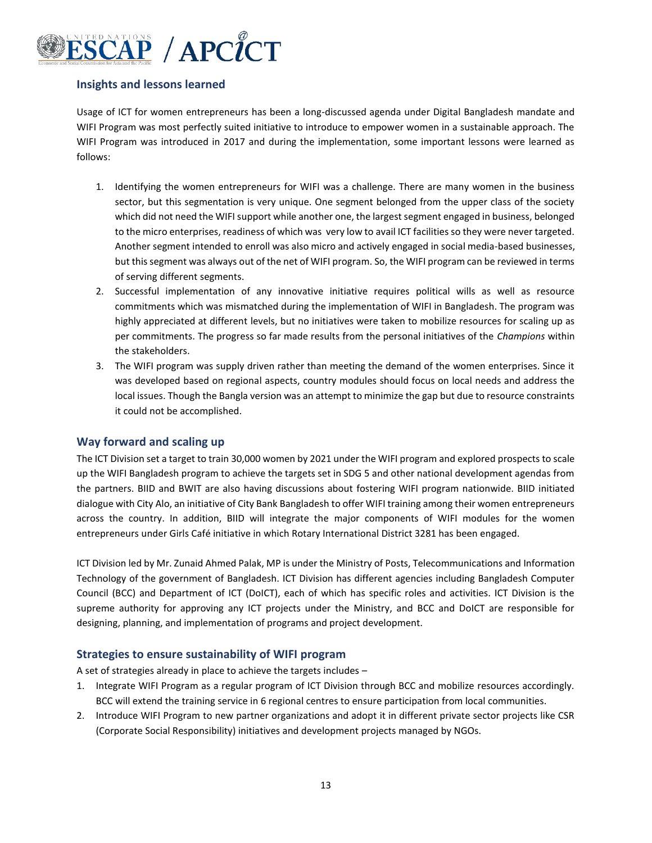

## **Insights and lessons learned**

Usage of ICT for women entrepreneurs has been a long-discussed agenda under Digital Bangladesh mandate and WIFI Program was most perfectly suited initiative to introduce to empower women in a sustainable approach. The WIFI Program was introduced in 2017 and during the implementation, some important lessons were learned as follows:

- 1. Identifying the women entrepreneurs for WIFI was a challenge. There are many women in the business sector, but this segmentation is very unique. One segment belonged from the upper class of the society which did not need the WIFI support while another one, the largest segment engaged in business, belonged to the micro enterprises, readiness of which was very low to avail ICT facilities so they were never targeted. Another segment intended to enroll was also micro and actively engaged in social media-based businesses, but this segment was always out of the net of WIFI program. So, the WIFI program can be reviewed in terms of serving different segments.
- 2. Successful implementation of any innovative initiative requires political wills as well as resource commitments which was mismatched during the implementation of WIFI in Bangladesh. The program was highly appreciated at different levels, but no initiatives were taken to mobilize resources for scaling up as per commitments. The progress so far made results from the personal initiatives of the *Champions* within the stakeholders.
- 3. The WIFI program was supply driven rather than meeting the demand of the women enterprises. Since it was developed based on regional aspects, country modules should focus on local needs and address the local issues. Though the Bangla version was an attempt to minimize the gap but due to resource constraints it could not be accomplished.

### **Way forward and scaling up**

The ICT Division set a target to train 30,000 women by 2021 under the WIFI program and explored prospects to scale up the WIFI Bangladesh program to achieve the targets set in SDG 5 and other national development agendas from the partners. BIID and BWIT are also having discussions about fostering WIFI program nationwide. BIID initiated dialogue with City Alo, an initiative of City Bank Bangladesh to offer WIFI training among their women entrepreneurs across the country. In addition, BIID will integrate the major components of WIFI modules for the women entrepreneurs under Girls Café initiative in which Rotary International District 3281 has been engaged.

ICT Division led by Mr. Zunaid Ahmed Palak, MP is under the Ministry of Posts, Telecommunications and Information Technology of the government of Bangladesh. ICT Division has different agencies including Bangladesh Computer Council (BCC) and Department of ICT (DoICT), each of which has specific roles and activities. ICT Division is the supreme authority for approving any ICT projects under the Ministry, and BCC and DoICT are responsible for designing, planning, and implementation of programs and project development.

### **Strategies to ensure sustainability of WIFI program**

A set of strategies already in place to achieve the targets includes –

- 1. Integrate WIFI Program as a regular program of ICT Division through BCC and mobilize resources accordingly. BCC will extend the training service in 6 regional centres to ensure participation from local communities.
- 2. Introduce WIFI Program to new partner organizations and adopt it in different private sector projects like CSR (Corporate Social Responsibility) initiatives and development projects managed by NGOs.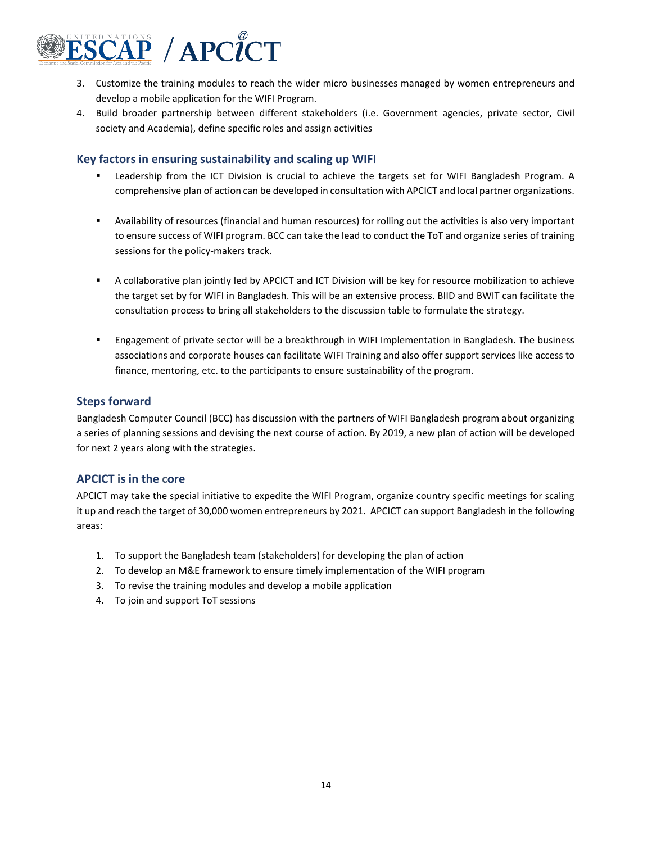

- 3. Customize the training modules to reach the wider micro businesses managed by women entrepreneurs and develop a mobile application for the WIFI Program.
- 4. Build broader partnership between different stakeholders (i.e. Government agencies, private sector, Civil society and Academia), define specific roles and assign activities

#### **Key factors in ensuring sustainability and scaling up WIFI**

- Leadership from the ICT Division is crucial to achieve the targets set for WIFI Bangladesh Program. A comprehensive plan of action can be developed in consultation with APCICT and local partner organizations.
- Availability of resources (financial and human resources) for rolling out the activities is also very important to ensure success of WIFI program. BCC can take the lead to conduct the ToT and organize series of training sessions for the policy-makers track.
- A collaborative plan jointly led by APCICT and ICT Division will be key for resource mobilization to achieve the target set by for WIFI in Bangladesh. This will be an extensive process. BIID and BWIT can facilitate the consultation process to bring all stakeholders to the discussion table to formulate the strategy.
- **■** Engagement of private sector will be a breakthrough in WIFI Implementation in Bangladesh. The business associations and corporate houses can facilitate WIFI Training and also offer support services like access to finance, mentoring, etc. to the participants to ensure sustainability of the program.

#### **Steps forward**

Bangladesh Computer Council (BCC) has discussion with the partners of WIFI Bangladesh program about organizing a series of planning sessions and devising the next course of action. By 2019, a new plan of action will be developed for next 2 years along with the strategies.

### **APCICT is in the core**

APCICT may take the special initiative to expedite the WIFI Program, organize country specific meetings for scaling it up and reach the target of 30,000 women entrepreneurs by 2021. APCICT can support Bangladesh in the following areas:

- 1. To support the Bangladesh team (stakeholders) for developing the plan of action
- 2. To develop an M&E framework to ensure timely implementation of the WIFI program
- 3. To revise the training modules and develop a mobile application
- 4. To join and support ToT sessions